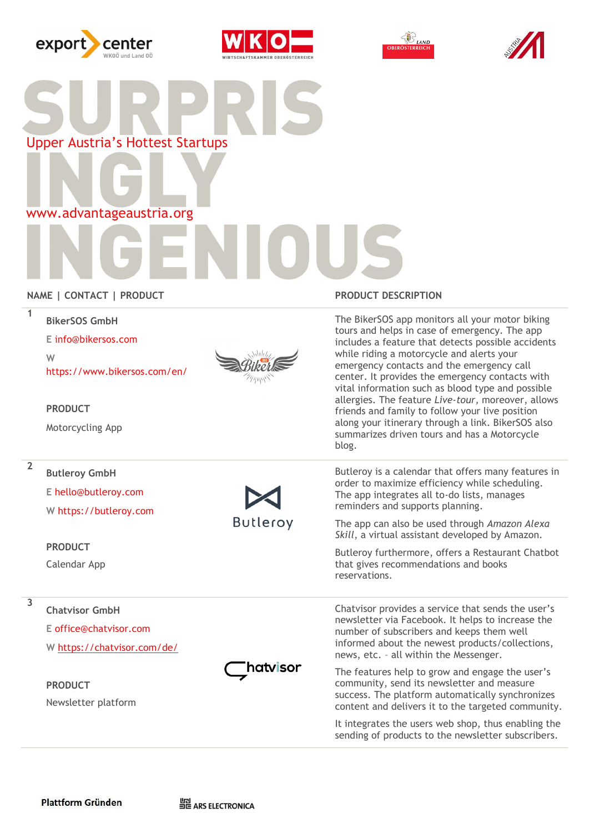







Upper Austria's Hottest Startups

www.advantageaustria.org

# **NAME | CONTACT | PRODUCT PRODUCT DESCRIPTION**

| 1              | <b>BikerSOS GmbH</b><br>E info@bikersos.com<br>W<br>https://www.bikersos.com/en/<br><b>PRODUCT</b><br>Motorcycling App  |                 | The BikerSOS app monitors all your motor biking<br>tours and helps in case of emergency. The app<br>includes a feature that detects possible accidents<br>while riding a motorcycle and alerts your<br>emergency contacts and the emergency call<br>center. It provides the emergency contacts with<br>vital information such as blood type and possible<br>allergies. The feature Live-tour, moreover, allows<br>friends and family to follow your live position<br>along your itinerary through a link. BikerSOS also<br>summarizes driven tours and has a Motorcycle<br>blog. |
|----------------|-------------------------------------------------------------------------------------------------------------------------|-----------------|----------------------------------------------------------------------------------------------------------------------------------------------------------------------------------------------------------------------------------------------------------------------------------------------------------------------------------------------------------------------------------------------------------------------------------------------------------------------------------------------------------------------------------------------------------------------------------|
| $\overline{2}$ | <b>Butleroy GmbH</b><br>E hello@butleroy.com<br>W https://butleroy.com<br><b>PRODUCT</b><br>Calendar App                | <b>Butleroy</b> | Butleroy is a calendar that offers many features in<br>order to maximize efficiency while scheduling.<br>The app integrates all to-do lists, manages<br>reminders and supports planning.<br>The app can also be used through Amazon Alexa<br>Skill, a virtual assistant developed by Amazon.<br>Butleroy furthermore, offers a Restaurant Chatbot<br>that gives recommendations and books<br>reservations.                                                                                                                                                                       |
| 3              | <b>Chatvisor GmbH</b><br>E office@chatvisor.com<br>W https://chatvisor.com/de/<br><b>PRODUCT</b><br>Newsletter platform | hatvisor        | Chatvisor provides a service that sends the user's<br>newsletter via Facebook. It helps to increase the<br>number of subscribers and keeps them well<br>informed about the newest products/collections,<br>news, etc. - all within the Messenger.<br>The features help to grow and engage the user's<br>community, send its newsletter and measure<br>success. The platform automatically synchronizes<br>content and delivers it to the targeted community.<br>It integrates the users web shop, thus enabling the<br>sending of products to the newsletter subscribers.        |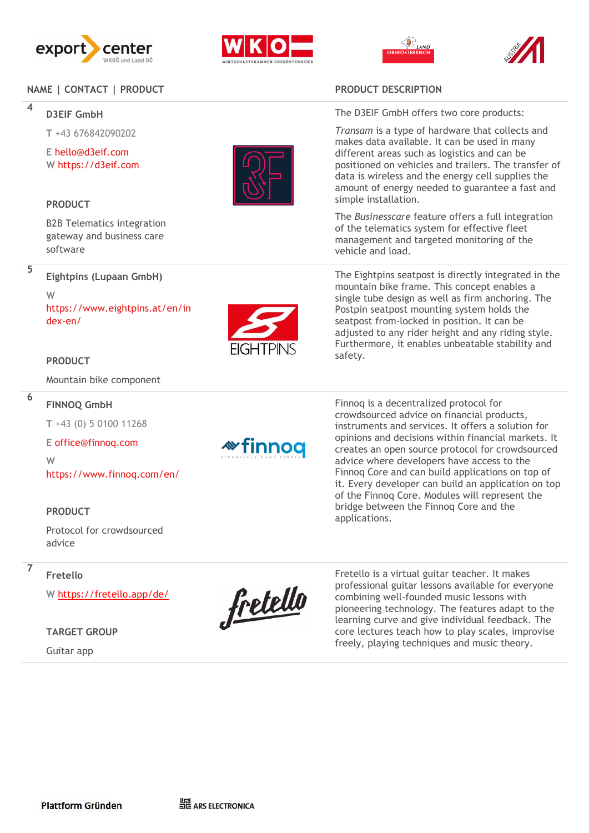

# **NAME | CONTACT | PRODUCT**<br>4

## **D3EIF GmbH**

**T** +43 676842090202

**E** [hello@d3eif.com](mailto:jonas@creators-expedition.com) **W** https://d3eif.com

### **PRODUCT**

B2B Telematics integration gateway and business care software



**6**

**Eightpins (Lupaan GmbH)** 

**W**  https://www.eightpins.at/en/in dex -en/



### **PRODUCT**

Mountain bike component

### **FINNOQ GmbH**

**T** +43 (0) 5 0100 11268

### **E** office@finnoq.com

**W**  https://www.finnoq.com/en/

### **PRODUCT**

**Fretello** 

Protocol for crowdsourced advice

### **7**

**W** <https://fretello.app/de/>

### **TARGET GROUP**

Guitar app



**\*finnoq** 

The D3EIF GmbH offers two core products:

*Transam* is a type of hardware that collects and makes data available. It can be used in many different areas such as logistics and can be positioned on vehicles and trailers. The transfer of data is wireless and the energy cell supplies the amount of energy needed to guarantee a fast and simple installation.

The *Businesscare* feature offers a full integration of the telematics system for effective fleet management and targeted monitoring of the vehicle and load.

The Eightpins seatpost is directly integrated in the mountain bike frame. This concept enables a single tube design as well as firm anchoring. The Postpin seatpost mounting system holds the seatpost from -locked in position. It can be adjusted to any rider height and any riding style. Furthermore, it enables unbeatable stability and safety.

Finnoq is a decentralized protocol for crowdsourced advice on financial products, instruments and services. It offers a solution for opinions and decisions within financial markets. It creates an open source protocol for crowdsourced advice where developers have access to the Finnoq Core and can build applications on top of it. Every developer can build an application on top of the Finnoq Core. Modules will represent the bridge between the Finnoq Core and the applications.



Fretello is a virtual guitar teacher. It makes professional guitar lessons available for everyone combining well -founded music lessons with pioneering technology. The features adapt to the learning curve and give individual feedback. The core lectures teach how to play scales, improvise freely, playing techniques and music theory.

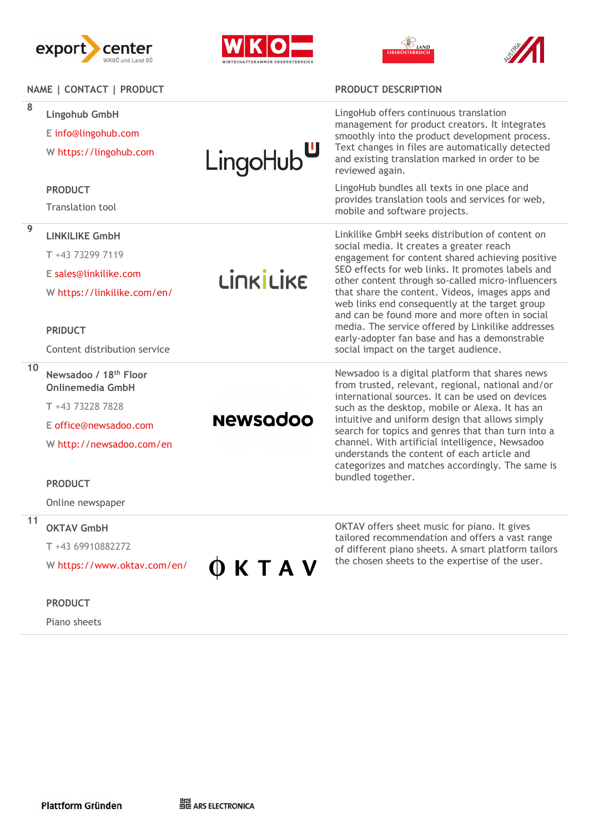







| NAME   CONTACT   PRODUCT |                                                                       |                       | <b>PRODUCT DESCRIPTION</b>                                                                                                                                                                                                                                                                                                                                                                                                                                                                                                                                      |
|--------------------------|-----------------------------------------------------------------------|-----------------------|-----------------------------------------------------------------------------------------------------------------------------------------------------------------------------------------------------------------------------------------------------------------------------------------------------------------------------------------------------------------------------------------------------------------------------------------------------------------------------------------------------------------------------------------------------------------|
| 8                        | <b>Lingohub GmbH</b><br>E info@lingohub.com<br>W https://lingohub.com | LingoHub <sup>u</sup> | LingoHub offers continuous translation<br>management for product creators. It integrates<br>smoothly into the product development process.<br>Text changes in files are automatically detected<br>and existing translation marked in order to be<br>reviewed again.                                                                                                                                                                                                                                                                                             |
|                          | <b>PRODUCT</b>                                                        |                       | LingoHub bundles all texts in one place and                                                                                                                                                                                                                                                                                                                                                                                                                                                                                                                     |
|                          | <b>Translation tool</b>                                               |                       | provides translation tools and services for web,<br>mobile and software projects.                                                                                                                                                                                                                                                                                                                                                                                                                                                                               |
| $\overline{9}$           | <b>LINKILIKE GmbH</b>                                                 | LINKILIKE             | Linkilike GmbH seeks distribution of content on<br>social media. It creates a greater reach<br>engagement for content shared achieving positive<br>SEO effects for web links. It promotes labels and<br>other content through so-called micro-influencers<br>that share the content. Videos, images apps and<br>web links end consequently at the target group<br>and can be found more and more often in social<br>media. The service offered by Linkilike addresses<br>early-adopter fan base and has a demonstrable<br>social impact on the target audience. |
|                          | T +43 73299 7119                                                      |                       |                                                                                                                                                                                                                                                                                                                                                                                                                                                                                                                                                                 |
|                          | E sales@linkilike.com                                                 |                       |                                                                                                                                                                                                                                                                                                                                                                                                                                                                                                                                                                 |
|                          | W https://linkilike.com/en/                                           |                       |                                                                                                                                                                                                                                                                                                                                                                                                                                                                                                                                                                 |
|                          | <b>PRIDUCT</b>                                                        |                       |                                                                                                                                                                                                                                                                                                                                                                                                                                                                                                                                                                 |
|                          | Content distribution service                                          |                       |                                                                                                                                                                                                                                                                                                                                                                                                                                                                                                                                                                 |
| 10                       | Newsadoo / 18 <sup>th</sup> Floor<br><b>Onlinemedia GmbH</b>          |                       | Newsadoo is a digital platform that shares news<br>from trusted, relevant, regional, national and/or<br>international sources. It can be used on devices<br>such as the desktop, mobile or Alexa. It has an<br>intuitive and uniform design that allows simply<br>search for topics and genres that than turn into a<br>channel. With artificial intelligence, Newsadoo<br>understands the content of each article and<br>categorizes and matches accordingly. The same is                                                                                      |
|                          | T +43 73228 7828                                                      |                       |                                                                                                                                                                                                                                                                                                                                                                                                                                                                                                                                                                 |
|                          | E office@newsadoo.com                                                 | <b>Newsadoo</b>       |                                                                                                                                                                                                                                                                                                                                                                                                                                                                                                                                                                 |
|                          | W http://newsadoo.com/en                                              |                       |                                                                                                                                                                                                                                                                                                                                                                                                                                                                                                                                                                 |
|                          | <b>PRODUCT</b>                                                        |                       | bundled together.                                                                                                                                                                                                                                                                                                                                                                                                                                                                                                                                               |
|                          | Online newspaper                                                      |                       |                                                                                                                                                                                                                                                                                                                                                                                                                                                                                                                                                                 |
| 11                       | <b>OKTAV GmbH</b>                                                     |                       | OKTAV offers sheet music for piano. It gives<br>tailored recommendation and offers a vast range<br>of different piano sheets. A smart platform tailors<br>the chosen sheets to the expertise of the user.                                                                                                                                                                                                                                                                                                                                                       |
|                          | T+43 69910882272                                                      | <b>KTAV</b>           |                                                                                                                                                                                                                                                                                                                                                                                                                                                                                                                                                                 |
|                          | W https://www.oktav.com/en/                                           |                       |                                                                                                                                                                                                                                                                                                                                                                                                                                                                                                                                                                 |

### **PRODUCT**

Piano sheets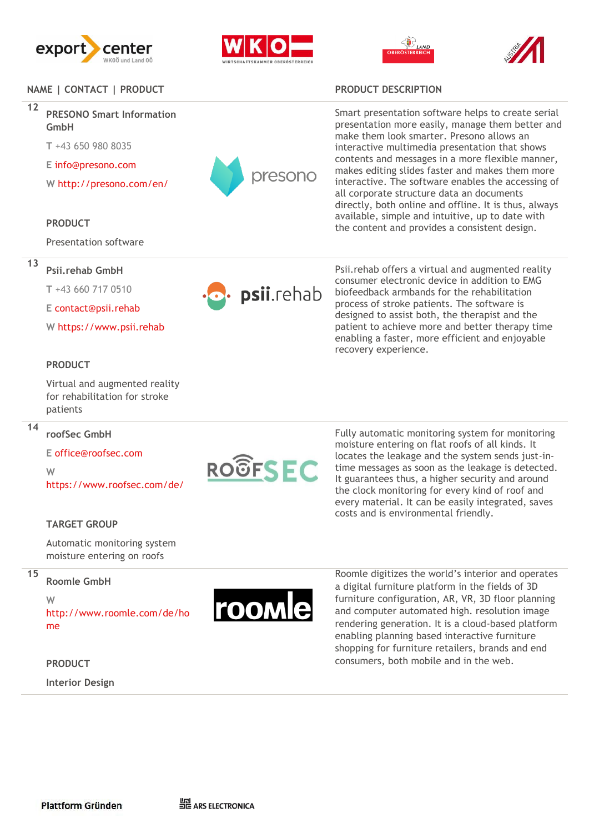







### **NAME | CONTACT | PRODUCT PRODUCT DESCRIPTION**

**12**

## **PRESONO Smart Information GmbH**

**T** +43 650 980 8035

**E** info@presono.com

**W** http://presono.com/en/

### **PRODUCT**

Presentation software

# **13**

**T** +43 660 717 0510

**Psii.rehab GmbH** 

**E** contact@psii.rehab

**W** https://www.psii.rehab

### **PRODUCT**

Virtual and augmented reality for rehabilitation for stroke patients

### **14**

**roofSec GmbH E** office@roofsec.com

**W** 

https://www.roofsec.com/de/

### **TARGET GROUP**

Automatic monitoring system moisture entering on roofs

# **15**

**Roomle GmbH**

**W** 

http://www.roomle.com/de/ho me

### **PRODUCT**

**Interior Design** 



Smart presentation software helps to create serial presentation more easily, manage them better and make them look smarter. Presono allows an interactive multimedia presentation that shows contents and messages in a more flexible manner, makes editing slides faster and makes them more interactive. The software enables the accessing of all corporate structure data an documents directly, both online and offline. It is thus, always available, simple and intuitive, up to date with the content and provides a consistent design.

psii.rehab

Psii.rehab offers a virtual and augmented reality consumer electronic device in addition to EMG biofeedback armbands for the rehabilitation process of stroke patients. The software is designed to assist both, the therapist and the patient to achieve more and better therapy time enabling a faster, more efficient and enjoyable recovery experience.

**ROOFSEC** 

Fully automatic monitoring system for monitoring moisture entering on flat roofs of all kinds. It locates the leakage and the system sends just -in time messages as soon as the leakage is detected. It guarantees thus, a higher security and around the clock monitoring for every kind of roof and every material. It can be easily integrated, saves costs and is environmental friendly.



Roomle digitizes the world's interior and operates a digital furniture platform in the fields of 3D furniture configuration, AR, VR, 3D floor planning and computer automated high. resolution image rendering generation. It is a cloud -based platform enabling planning based interactive furniture shopping for furniture retailers, brands and end consumers, both mobile and in the web.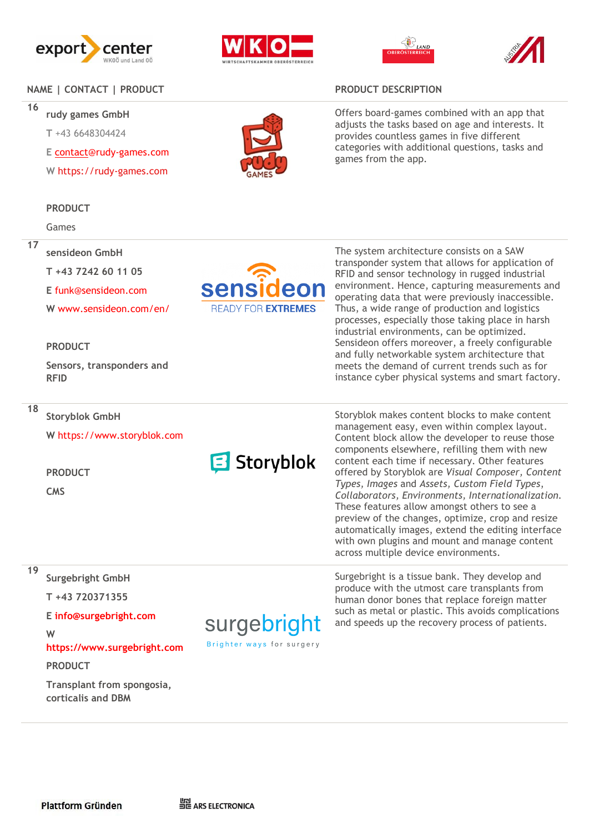







# **NAME | CONTACT | PRODUCT PRODUCT DESCRIPTION**

**16**

**17**

**rudy games GmbH** 

**T** +43 6648304424

**E** [contact@](mailto:contact)rudy -games.com

**W** https://rudy -games.com

### **PRODUCT**

Games

### **sensideon GmbH**

**T +43 7242 60 11 05** 

**E** funk@sensideon.com

**W** www.sensideon.com/en/

### **PRODUCT**

**Sensors, transponders and RFID**

**18**

### **Storyblok GmbH**

**W** https://www.storyblok.com

**PRODUCT**

**CMS** 



# **Surgebright GmbH**

**T +43 720371355** 

**E info@surgebright.com** 

### **W**

**https://www.surgebright.com**

**PRODUCT**

**Transplant from spongosia, corticalis and DBM**



Offers board -games combined with an app that adjusts the tasks based on age and interests. It provides countless games in five different categories with additional questions, tasks and games from the app.



**B** Storyblok

surgebright Brighter ways for surgery

The system architecture consists on a SAW transponder system that allows for application of RFID and sensor technology in rugged industrial environment. Hence, capturing measurements and operating data that were previously inaccessible. Thus, a wide range of production and logistics processes, especially those taking place in harsh industrial environments, can be optimized. Sensideon offers moreover, a freely configurable and fully networkable system architecture that meets the demand of current trends such as for instance cyber physical systems and smart factory.

Storyblo k makes content blocks to make content management easy, even within complex layout. Content block allow the developer to reuse those components elsewhere, refilling them with new content each time if necessary. Other features offered by Storyblok are *Visual Composer, Content Types, Images* and *Assets, Custom Field Types*, *Collaborators, Environments, Internationalization.* These features allow amongst others to see a preview of the changes, optimize, crop and resize automatically images, extend the editing interface with own plugins and mount and manage content across multiple device environments.

Surgebright is a tissue bank. They develop and produce with the utmost care transplants from human donor bones that replace foreign matter such as metal or plastic. This avoids complications and speeds up the recovery process of patients.